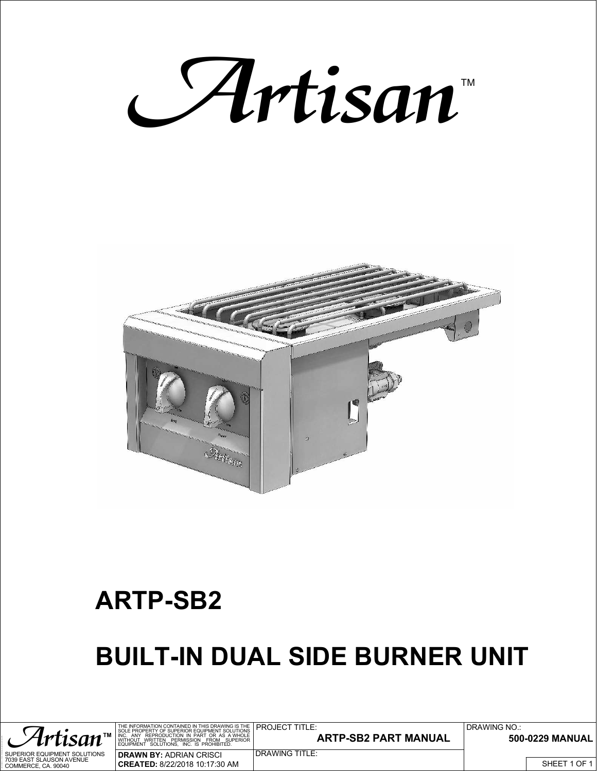



## **ARTP-SB2**

## **BUILT-IN DUAL SIDE BURNER UNIT**

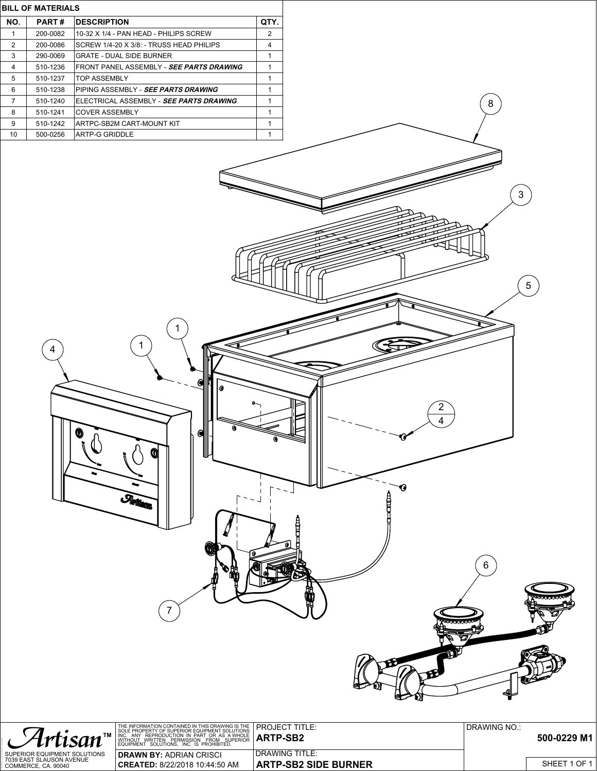

|                                                 | THE INFORMATION CONTAINED IN THIS DRAWING IS THE PROJECT TITLE:<br>SOLE PROPERTY OF SUPERIOR EQUIPMENT SOLUTIONS          |                             | DRAWING NO |              |
|-------------------------------------------------|---------------------------------------------------------------------------------------------------------------------------|-----------------------------|------------|--------------|
| Artisan <sup>®</sup>                            | 1 INC. ANY REPRODUCTION IN PART OR AS A WHOLE <b>ARTP-SB2</b><br>WITHOUT WRITTEN PERMISSION FROM SUPERIOR <b>ARTP-SB2</b> |                             |            | 500-0229 M1  |
| SUPERIOR EQUIPMENT SOLUTIONS                    | <b>DRAWN BY:</b> ADRIAN CRISCI                                                                                            | I DRAWING TITLE:            |            |              |
| 7039 EAST SLAUSON AVENUE<br>COMMERCE. CA. 90040 | <b>CREATED:</b> 8/22/2018 10:44:50 AM                                                                                     | <b>ARTP-SB2 SIDE BURNER</b> |            | SHEET 1 OF 1 |

LAST SAVED BY: »» Adrian «« Thursday, March 17, 2022 10:34:23 AM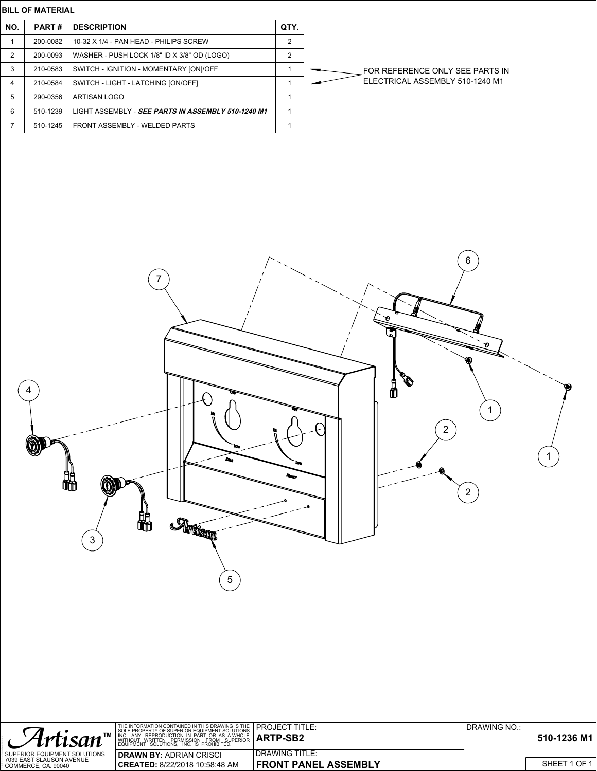**BILL OF MATERIAL**

LAST SAVED BY: »» Adrian «« Wednesday, September 5, 2018 9:44:20 AM

| NO. | <b>PART#</b> | <b>IDESCRIPTION</b>                                        | QTY. |                |
|-----|--------------|------------------------------------------------------------|------|----------------|
|     | 200-0082     | 110-32 X 1/4 - PAN HEAD - PHILIPS SCREW                    | 2    |                |
| 2   | 200-0093     | WASHER - PUSH LOCK 1/8" ID X 3/8" OD (LOGO)                | 2    |                |
| 3   | 210-0583     | SWITCH - IGNITION - MOMENTARY [ON]/OFF                     |      | <b>FOR REF</b> |
| 4   | 210-0584     | SWITCH - LIGHT - LATCHING [ON/OFF]                         |      | <b>ELECTRI</b> |
| 5   | 290-0356     | IARTISAN LOGO                                              |      |                |
| 6   | 510-1239     | ILIGHT ASSEMBLY - <i>SEE PARTS IN ASSEMBLY 510-1240 M1</i> |      |                |
|     | 510-1245     | <b>IFRONT ASSEMBLY - WELDED PARTS</b>                      |      |                |
|     |              |                                                            |      |                |

FERENCE ONLY SEE PARTS IN ICAL ASSEMBLY 510-1240 M1



|                                                 | THE INFORMATION CONTAINED IN THIS DRAWING IS THE <b>PROJECT TITLE:</b> |                             | DRAWING NO.: |              |
|-------------------------------------------------|------------------------------------------------------------------------|-----------------------------|--------------|--------------|
| Artisan                                         | 1 INC. ANY REPRODUCTION IN PART OR AS A WHOLE <b>ARTP-SB2</b>          |                             |              | 510-1236 M1  |
| SUPERIOR EQUIPMENT SOLUTIONS                    | <b>DRAWN BY:</b> ADRIAN CRISCI                                         | <b>DRAWING TITLE:</b>       |              |              |
| 7039 EAST SLAUSON AVENUE<br>COMMERCE. CA. 90040 | CREATED: 8/22/2018 10:58:48 AM                                         | <b>FRONT PANEL ASSEMBLY</b> |              | SHEET 1 OF 1 |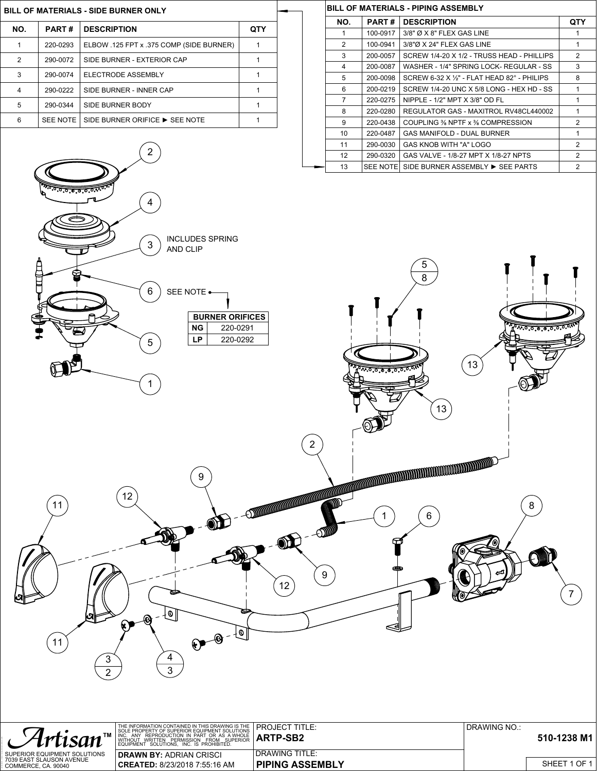## **BILL OF MATERIALS - SIDE BURNER ONLY**

LAST SAVED BY: »» Adrian «« Thursday, November 1, 2018 12:01:12 PM

| NO. | PART#    | <b>DESCRIPTION</b>                       | QTY |
|-----|----------|------------------------------------------|-----|
|     | 220-0293 | ELBOW .125 FPT x .375 COMP (SIDE BURNER) |     |
| 2   | 290-0072 | SIDE BURNER - EXTERIOR CAP               |     |
| 3   | 290-0074 | ELECTRODE ASSEMBLY                       |     |
| 4   | 290-0222 | SIDE BURNER - INNER CAP                  |     |
| 5   | 290-0344 | SIDE BURNER BODY                         |     |
| 6   | SEE NOTE | SIDE BURNER ORIFICE ▶ SEE NOTE           |     |

 $\overline{2}$ 

## **BILL OF MATERIALS - PIPING ASSEMBLY**

| NO.               | PART#    | <b>DESCRIPTION</b>                                   | QTY            |
|-------------------|----------|------------------------------------------------------|----------------|
| 1                 | 100-0917 | $3/8"$ $\varnothing$ X $8"$ FLEX GAS LINE            |                |
| $\overline{2}$    | 100-0941 | $3/8"$ Ø X 24" FLEX GAS LINE                         | 1              |
| 3                 | 200-0057 | SCREW 1/4-20 X 1/2 - TRUSS HEAD - PHILLIPS           | 2              |
| 4                 | 200-0087 | WASHER - 1/4" SPRING LOCK- REGULAR - SS              | 3              |
| 5                 | 200-0098 | SCREW 6-32 X $\frac{1}{2}$ - FLAT HEAD 82° - PHILIPS | 8              |
| 6                 | 200-0219 | SCREW 1/4-20 UNC X 5/8 LONG - HEX HD - SS            |                |
| $\overline{7}$    | 220-0275 | NIPPLE - 1/2" MPT X 3/8" OD FL                       |                |
| 8                 | 220-0280 | REGULATOR GAS - MAXITROL RV48CL440002                | 1              |
| 9                 | 220-0438 | COUPLING % NPTF x % COMPRESSION                      | $\mathfrak{p}$ |
| 10                | 220-0487 | <b>GAS MANIFOLD - DUAL BURNER</b>                    |                |
| 11                | 290-0030 | GAS KNOB WITH "A" LOGO                               | 2              |
| $12 \overline{ }$ | 290-0320 | GAS VALVE - 1/8-27 MPT X 1/8-27 NPTS                 | 2              |
| 13                |          | SEE NOTE  SIDE BURNER ASSEMBLY ▶ SEE PARTS           | 2              |



|                                                 | THE INFORMATION CONTAINED IN THIS DRAWING IS THE PROJECT TITLE:<br>SOLE PROPERTY OF SUPERIOR EQUIPMENT SOLUTIONS |                        | DRAWING NO.: |              |
|-------------------------------------------------|------------------------------------------------------------------------------------------------------------------|------------------------|--------------|--------------|
| Artisan                                         | <b>1</b> INC. ANY REPRODUCTION IN PART OR AS A WHOLE <b>ARTP-SB2</b>                                             |                        |              | 510-1238 M1  |
| SUPERIOR EQUIPMENT SOLUTIONS                    | <b>DRAWN BY: ADRIAN CRISCI</b>                                                                                   | <b>DRAWING TITLE:</b>  |              |              |
| 7039 EAST SLAUSON AVENUE<br>COMMERCE. CA. 90040 | <b>CREATED:</b> 8/23/2018 7:55:16 AM                                                                             | <b>PIPING ASSEMBLY</b> |              | SHEET 1 OF 1 |